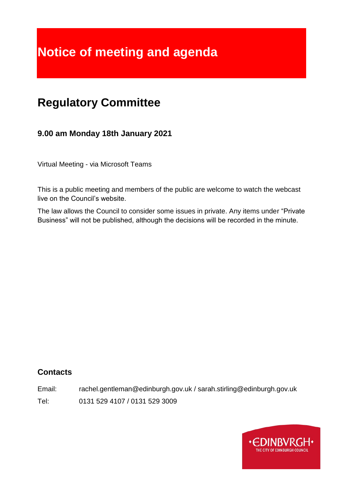# **Notice of meeting and agenda**

# **Regulatory Committee**

# **9.00 am Monday 18th January 2021**

Virtual Meeting - via Microsoft Teams

This is a public meeting and members of the public are welcome to watch the webcast live on the Council's website.

The law allows the Council to consider some issues in private. Any items under "Private Business" will not be published, although the decisions will be recorded in the minute.

#### **Contacts**

Email: rachel.gentleman@edinburgh.gov.uk / sarah.stirling@edinburgh.gov.uk

Tel: 0131 529 4107 / 0131 529 3009

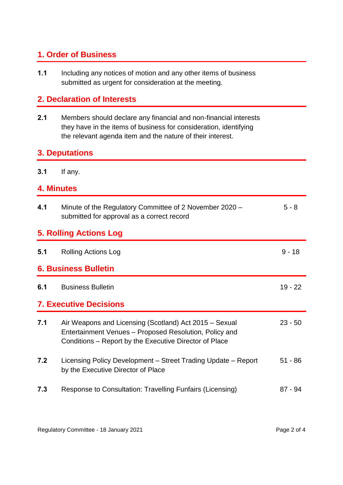# **1. Order of Business**

**1.1** Including any notices of motion and any other items of business submitted as urgent for consideration at the meeting.

#### **2. Declaration of Interests**

**2.1** Members should declare any financial and non-financial interests they have in the items of business for consideration, identifying the relevant agenda item and the nature of their interest.

### **3. Deputations**

**3.1** If any.

#### **4. Minutes**

| 4.1                           | Minute of the Regulatory Committee of 2 November 2020 –<br>submitted for approval as a correct record                                                                      | $5 - 8$   |
|-------------------------------|----------------------------------------------------------------------------------------------------------------------------------------------------------------------------|-----------|
| <b>5. Rolling Actions Log</b> |                                                                                                                                                                            |           |
| 5.1                           | <b>Rolling Actions Log</b>                                                                                                                                                 | $9 - 18$  |
| <b>6. Business Bulletin</b>   |                                                                                                                                                                            |           |
| 6.1                           | <b>Business Bulletin</b>                                                                                                                                                   | $19 - 22$ |
| <b>7. Executive Decisions</b> |                                                                                                                                                                            |           |
| 7.1                           | Air Weapons and Licensing (Scotland) Act 2015 – Sexual<br>Entertainment Venues - Proposed Resolution, Policy and<br>Conditions – Report by the Executive Director of Place | $23 - 50$ |
| 7.2                           | Licensing Policy Development – Street Trading Update – Report<br>by the Executive Director of Place                                                                        | $51 - 86$ |
| 7.3                           | Response to Consultation: Travelling Funfairs (Licensing)                                                                                                                  | 87 - 94   |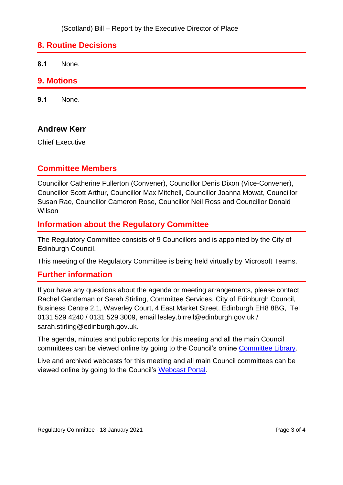#### **8. Routine Decisions**

**8.1** None.

#### **9. Motions**

**9.1** None.

#### **Andrew Kerr**

Chief Executive

#### **Committee Members**

Councillor Catherine Fullerton (Convener), Councillor Denis Dixon (Vice-Convener), Councillor Scott Arthur, Councillor Max Mitchell, Councillor Joanna Mowat, Councillor Susan Rae, Councillor Cameron Rose, Councillor Neil Ross and Councillor Donald Wilson

#### **Information about the Regulatory Committee**

The Regulatory Committee consists of 9 Councillors and is appointed by the City of Edinburgh Council.

This meeting of the Regulatory Committee is being held virtually by Microsoft Teams.

#### **Further information**

If you have any questions about the agenda or meeting arrangements, please contact Rachel Gentleman or Sarah Stirling, Committee Services, City of Edinburgh Council, Business Centre 2.1, Waverley Court, 4 East Market Street, Edinburgh EH8 8BG, Tel 0131 529 4240 / 0131 529 3009, email lesley.birrell@edinburgh.gov.uk / sarah.stirling@edinburgh.gov.uk.

The agenda, minutes and public reports for this meeting and all the main Council committees can be viewed online by going to the Council's online [Committee Library.](https://democracy.edinburgh.gov.uk/ieDocHome.aspx?bcr=1)

Live and archived webcasts for this meeting and all main Council committees can be viewed online by going to the Council's [Webcast Portal.](https://edinburgh.public-i.tv/core/portal/home)